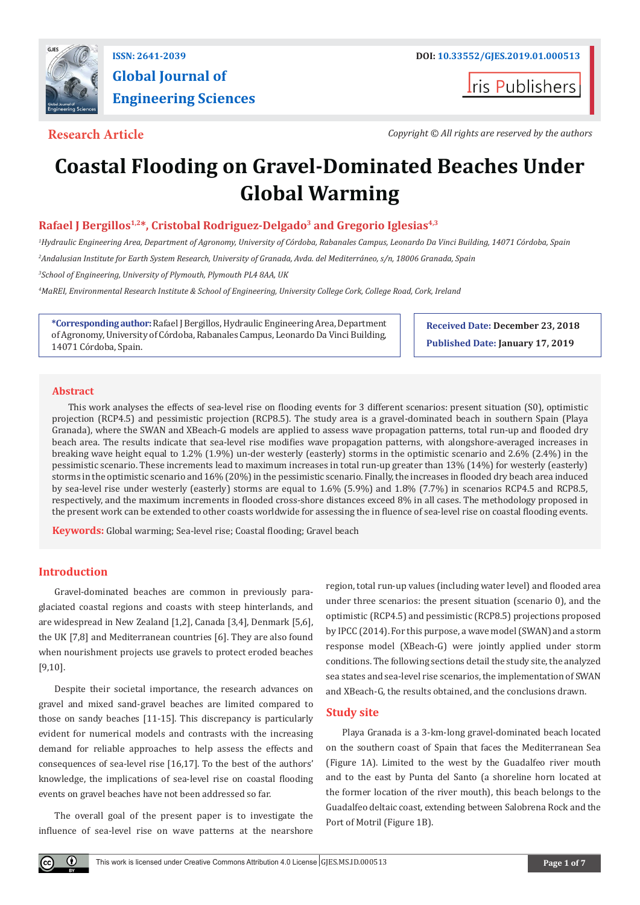

**Global Journal of Engineering Sciences**

**I**ris Publishers

**Research Article** *Copyright © All rights are reserved by the authors*

# **Coastal Flooding on Gravel-Dominated Beaches Under Global Warming**

## Rafael J Bergillos<sup>1,2\*</sup>, Cristobal Rodriguez-Delgado<sup>3</sup> and Gregorio Iglesias<sup>4,3</sup>

*1 Hydraulic Engineering Area, Department of Agronomy, University of Córdoba, Rabanales Campus, Leonardo Da Vinci Building, 14071 Córdoba, Spain 2 Andalusian Institute for Earth System Research, University of Granada, Avda. del Mediterráneo, s/n, 18006 Granada, Spain 3 School of Engineering, University of Plymouth, Plymouth PL4 8AA, UK*

*4 MaREI, Environmental Research Institute & School of Engineering, University College Cork, College Road, Cork, Ireland*

**\*Corresponding author:** Rafael J Bergillos, Hydraulic Engineering Area, Department of Agronomy, University of Córdoba, Rabanales Campus, Leonardo Da Vinci Building, 14071 Córdoba, Spain.

**Received Date: December 23, 2018 Published Date: January 17, 2019**

#### **Abstract**

This work analyses the effects of sea-level rise on flooding events for 3 different scenarios: present situation (S0), optimistic projection (RCP4.5) and pessimistic projection (RCP8.5). The study area is a gravel-dominated beach in southern Spain (Playa Granada), where the SWAN and XBeach-G models are applied to assess wave propagation patterns, total run-up and flooded dry beach area. The results indicate that sea-level rise modifies wave propagation patterns, with alongshore-averaged increases in breaking wave height equal to 1.2% (1.9%) un-der westerly (easterly) storms in the optimistic scenario and 2.6% (2.4%) in the pessimistic scenario. These increments lead to maximum increases in total run-up greater than 13% (14%) for westerly (easterly) storms in the optimistic scenario and 16% (20%) in the pessimistic scenario. Finally, the increases in flooded dry beach area induced by sea-level rise under westerly (easterly) storms are equal to 1.6% (5.9%) and 1.8% (7.7%) in scenarios RCP4.5 and RCP8.5, respectively, and the maximum increments in flooded cross-shore distances exceed 8% in all cases. The methodology proposed in the present work can be extended to other coasts worldwide for assessing the in fluence of sea-level rise on coastal flooding events.

**Keywords:** Global warming; Sea-level rise; Coastal flooding; Gravel beach

### **Introduction**

Gravel-dominated beaches are common in previously paraglaciated coastal regions and coasts with steep hinterlands, and are widespread in New Zealand [1,2], Canada [3,4], Denmark [5,6], the UK [7,8] and Mediterranean countries [6]. They are also found when nourishment projects use gravels to protect eroded beaches [9,10].

Despite their societal importance, the research advances on gravel and mixed sand-gravel beaches are limited compared to those on sandy beaches [11-15]. This discrepancy is particularly evident for numerical models and contrasts with the increasing demand for reliable approaches to help assess the effects and consequences of sea-level rise [16,17]. To the best of the authors' knowledge, the implications of sea-level rise on coastal flooding events on gravel beaches have not been addressed so far.

The overall goal of the present paper is to investigate the influence of sea-level rise on wave patterns at the nearshore

region, total run-up values (including water level) and flooded area under three scenarios: the present situation (scenario 0), and the optimistic (RCP4.5) and pessimistic (RCP8.5) projections proposed by IPCC (2014). For this purpose, a wave model (SWAN) and a storm response model (XBeach-G) were jointly applied under storm conditions. The following sections detail the study site, the analyzed sea states and sea-level rise scenarios, the implementation of SWAN and XBeach-G, the results obtained, and the conclusions drawn.

# **Study site**

Playa Granada is a 3-km-long gravel-dominated beach located on the southern coast of Spain that faces the Mediterranean Sea (Figure 1A). Limited to the west by the Guadalfeo river mouth and to the east by Punta del Santo (a shoreline horn located at the former location of the river mouth), this beach belongs to the Guadalfeo deltaic coast, extending between Salobrena Rock and the Port of Motril (Figure 1B).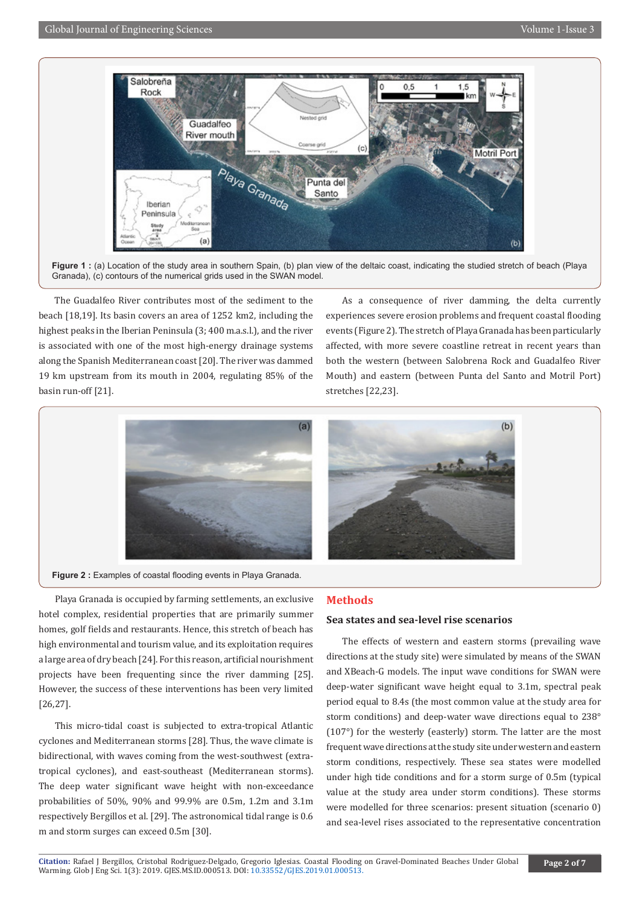

**Figure 1 :** (a) Location of the study area in southern Spain, (b) plan view of the deltaic coast, indicating the studied stretch of beach (Playa Granada), (c) contours of the numerical grids used in the SWAN model.

The Guadalfeo River contributes most of the sediment to the beach [18,19]. Its basin covers an area of 1252 km2, including the highest peaks in the Iberian Peninsula (3; 400 m.a.s.l.), and the river is associated with one of the most high-energy drainage systems along the Spanish Mediterranean coast [20]. The river was dammed 19 km upstream from its mouth in 2004, regulating 85% of the basin run-off [21].

As a consequence of river damming, the delta currently experiences severe erosion problems and frequent coastal flooding events (Figure 2). The stretch of Playa Granada has been particularly affected, with more severe coastline retreat in recent years than both the western (between Salobrena Rock and Guadalfeo River Mouth) and eastern (between Punta del Santo and Motril Port) stretches [22,23].



**Figure 2 :** Examples of coastal flooding events in Playa Granada.

Playa Granada is occupied by farming settlements, an exclusive hotel complex, residential properties that are primarily summer homes, golf fields and restaurants. Hence, this stretch of beach has high environmental and tourism value, and its exploitation requires a large area of dry beach [24]. For this reason, artificial nourishment projects have been frequenting since the river damming [25]. However, the success of these interventions has been very limited [26,27].

This micro-tidal coast is subjected to extra-tropical Atlantic cyclones and Mediterranean storms [28]. Thus, the wave climate is bidirectional, with waves coming from the west-southwest (extratropical cyclones), and east-southeast (Mediterranean storms). The deep water significant wave height with non-exceedance probabilities of 50%, 90% and 99.9% are 0.5m, 1.2m and 3.1m respectively Bergillos et al. [29]. The astronomical tidal range is 0.6 m and storm surges can exceed 0.5m [30].

#### **Methods**

#### **Sea states and sea-level rise scenarios**

The effects of western and eastern storms (prevailing wave directions at the study site) were simulated by means of the SWAN and XBeach-G models. The input wave conditions for SWAN were deep-water significant wave height equal to 3.1m, spectral peak period equal to 8.4s (the most common value at the study area for storm conditions) and deep-water wave directions equal to 238° (107°) for the westerly (easterly) storm. The latter are the most frequent wave directions at the study site under western and eastern storm conditions, respectively. These sea states were modelled under high tide conditions and for a storm surge of 0.5m (typical value at the study area under storm conditions). These storms were modelled for three scenarios: present situation (scenario 0) and sea-level rises associated to the representative concentration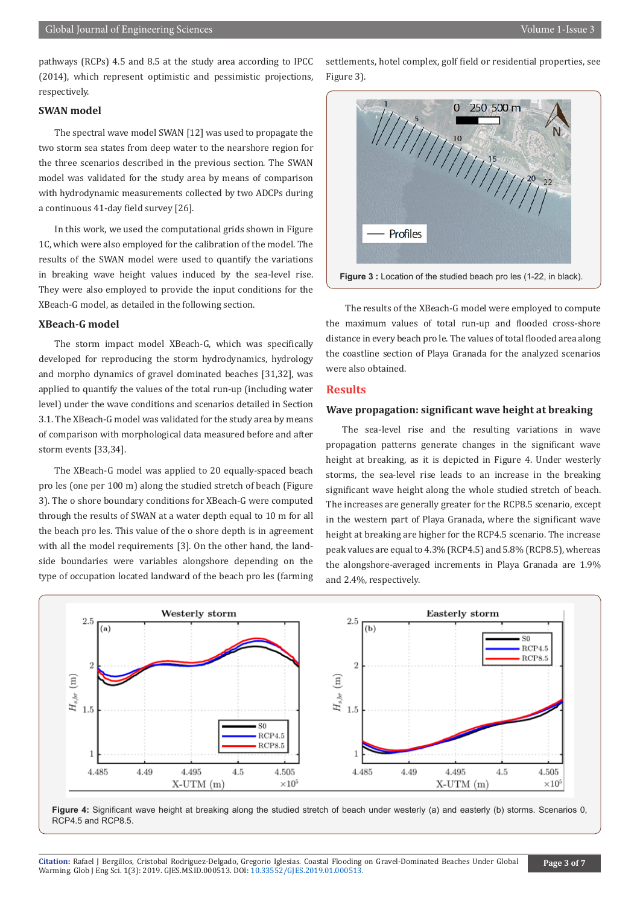pathways (RCPs) 4.5 and 8.5 at the study area according to IPCC (2014), which represent optimistic and pessimistic projections, respectively.

#### **SWAN model**

The spectral wave model SWAN [12] was used to propagate the two storm sea states from deep water to the nearshore region for the three scenarios described in the previous section. The SWAN model was validated for the study area by means of comparison with hydrodynamic measurements collected by two ADCPs during a continuous 41-day field survey [26].

In this work, we used the computational grids shown in Figure 1C, which were also employed for the calibration of the model. The results of the SWAN model were used to quantify the variations in breaking wave height values induced by the sea-level rise. They were also employed to provide the input conditions for the XBeach-G model, as detailed in the following section.

#### **XBeach-G model**

The storm impact model XBeach-G, which was specifically developed for reproducing the storm hydrodynamics, hydrology and morpho dynamics of gravel dominated beaches [31,32], was applied to quantify the values of the total run-up (including water level) under the wave conditions and scenarios detailed in Section 3.1. The XBeach-G model was validated for the study area by means of comparison with morphological data measured before and after storm events [33,34].

The XBeach-G model was applied to 20 equally-spaced beach pro les (one per 100 m) along the studied stretch of beach (Figure 3). The o shore boundary conditions for XBeach-G were computed through the results of SWAN at a water depth equal to 10 m for all the beach pro les. This value of the o shore depth is in agreement with all the model requirements [3]. On the other hand, the landside boundaries were variables alongshore depending on the type of occupation located landward of the beach pro les (farming

settlements, hotel complex, golf field or residential properties, see Figure 3).



 The results of the XBeach-G model were employed to compute the maximum values of total run-up and flooded cross-shore distance in every beach pro le. The values of total flooded area along the coastline section of Playa Granada for the analyzed scenarios were also obtained.

#### **Results**

#### **Wave propagation: significant wave height at breaking**

The sea-level rise and the resulting variations in wave propagation patterns generate changes in the significant wave height at breaking, as it is depicted in Figure 4. Under westerly storms, the sea-level rise leads to an increase in the breaking significant wave height along the whole studied stretch of beach. The increases are generally greater for the RCP8.5 scenario, except in the western part of Playa Granada, where the significant wave height at breaking are higher for the RCP4.5 scenario. The increase peak values are equal to 4.3% (RCP4.5) and 5.8% (RCP8.5), whereas the alongshore-averaged increments in Playa Granada are 1.9% and 2.4%, respectively.



Figure 4: Significant wave height at breaking along the studied stretch of beach under westerly (a) and easterly (b) storms. Scenarios 0, RCP4.5 and RCP8.5.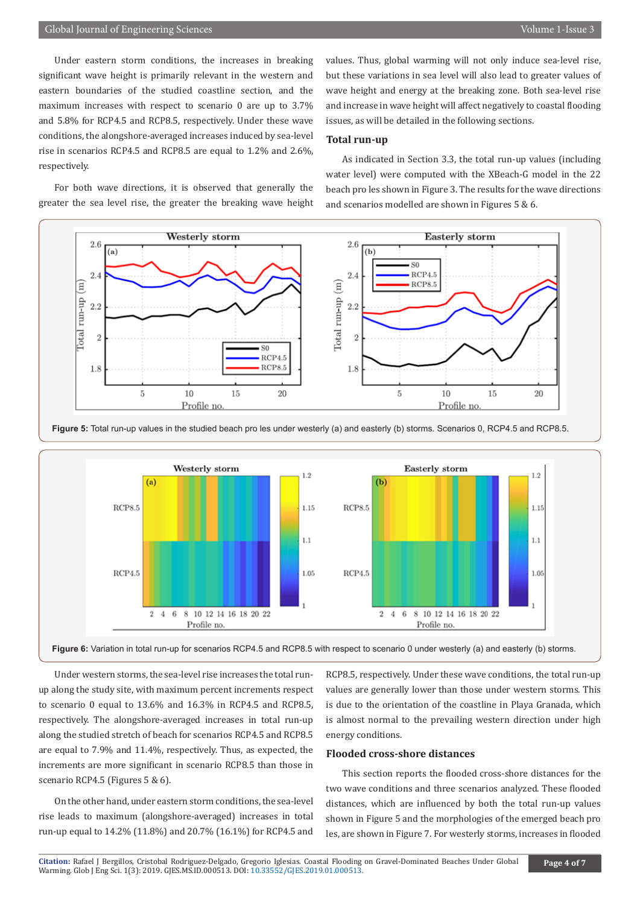Under eastern storm conditions, the increases in breaking significant wave height is primarily relevant in the western and eastern boundaries of the studied coastline section, and the maximum increases with respect to scenario 0 are up to 3.7% and 5.8% for RCP4.5 and RCP8.5, respectively. Under these wave conditions, the alongshore-averaged increases induced by sea-level rise in scenarios RCP4.5 and RCP8.5 are equal to 1.2% and 2.6%, respectively.

For both wave directions, it is observed that generally the greater the sea level rise, the greater the breaking wave height values. Thus, global warming will not only induce sea-level rise, but these variations in sea level will also lead to greater values of wave height and energy at the breaking zone. Both sea-level rise and increase in wave height will affect negatively to coastal flooding issues, as will be detailed in the following sections.

#### **Total run-up**

As indicated in Section 3.3, the total run-up values (including water level) were computed with the XBeach-G model in the 22 beach pro les shown in Figure 3. The results for the wave directions and scenarios modelled are shown in Figures 5 & 6.







**Figure 6:** Variation in total run-up for scenarios RCP4.5 and RCP8.5 with respect to scenario 0 under westerly (a) and easterly (b) storms.

Under western storms, the sea-level rise increases the total runup along the study site, with maximum percent increments respect to scenario 0 equal to 13.6% and 16.3% in RCP4.5 and RCP8.5, respectively. The alongshore-averaged increases in total run-up along the studied stretch of beach for scenarios RCP4.5 and RCP8.5 are equal to 7.9% and 11.4%, respectively. Thus, as expected, the increments are more significant in scenario RCP8.5 than those in scenario RCP4.5 (Figures 5 & 6).

On the other hand, under eastern storm conditions, the sea-level rise leads to maximum (alongshore-averaged) increases in total run-up equal to 14.2% (11.8%) and 20.7% (16.1%) for RCP4.5 and

RCP8.5, respectively. Under these wave conditions, the total run-up values are generally lower than those under western storms. This is due to the orientation of the coastline in Playa Granada, which is almost normal to the prevailing western direction under high energy conditions.

#### **Flooded cross-shore distances**

This section reports the flooded cross-shore distances for the two wave conditions and three scenarios analyzed. These flooded distances, which are influenced by both the total run-up values shown in Figure 5 and the morphologies of the emerged beach pro les, are shown in Figure 7. For westerly storms, increases in flooded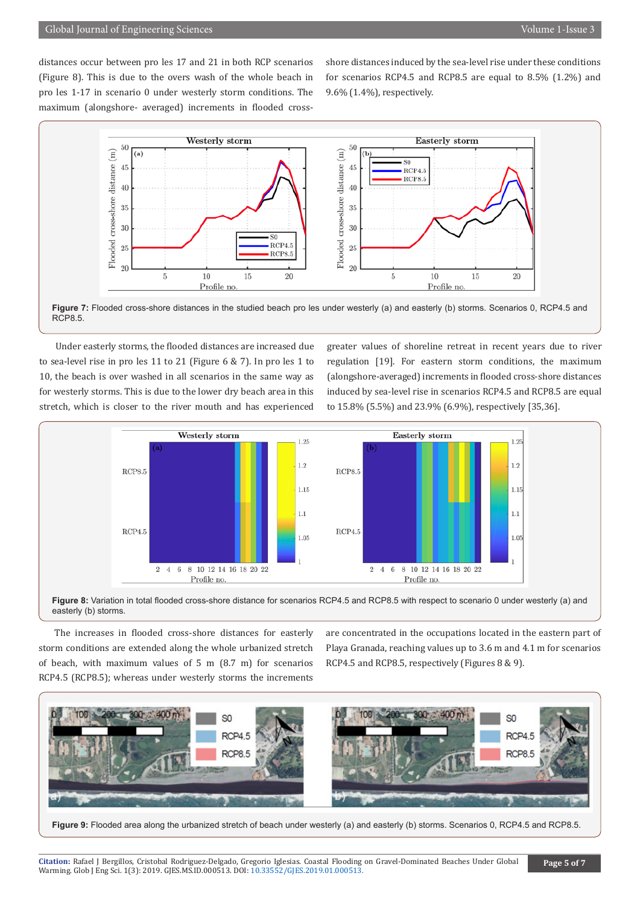distances occur between pro les 17 and 21 in both RCP scenarios (Figure 8). This is due to the overs wash of the whole beach in pro les 1-17 in scenario 0 under westerly storm conditions. The maximum (alongshore- averaged) increments in flooded crossshore distances induced by the sea-level rise under these conditions for scenarios RCP4.5 and RCP8.5 are equal to 8.5% (1.2%) and 9.6% (1.4%), respectively.



Figure 7: Flooded cross-shore distances in the studied beach pro les under westerly (a) and easterly (b) storms. Scenarios 0, RCP4.5 and RCP8.5.

Under easterly storms, the flooded distances are increased due to sea-level rise in pro les 11 to 21 (Figure 6 & 7). In pro les 1 to 10, the beach is over washed in all scenarios in the same way as for westerly storms. This is due to the lower dry beach area in this stretch, which is closer to the river mouth and has experienced

greater values of shoreline retreat in recent years due to river regulation [19]. For eastern storm conditions, the maximum (alongshore-averaged) increments in flooded cross-shore distances induced by sea-level rise in scenarios RCP4.5 and RCP8.5 are equal to 15.8% (5.5%) and 23.9% (6.9%), respectively [35,36].





The increases in flooded cross-shore distances for easterly storm conditions are extended along the whole urbanized stretch of beach, with maximum values of 5 m (8.7 m) for scenarios RCP4.5 (RCP8.5); whereas under westerly storms the increments are concentrated in the occupations located in the eastern part of Playa Granada, reaching values up to 3.6 m and 4.1 m for scenarios RCP4.5 and RCP8.5, respectively (Figures 8 & 9).



**Figure 9:** Flooded area along the urbanized stretch of beach under westerly (a) and easterly (b) storms. Scenarios 0, RCP4.5 and RCP8.5.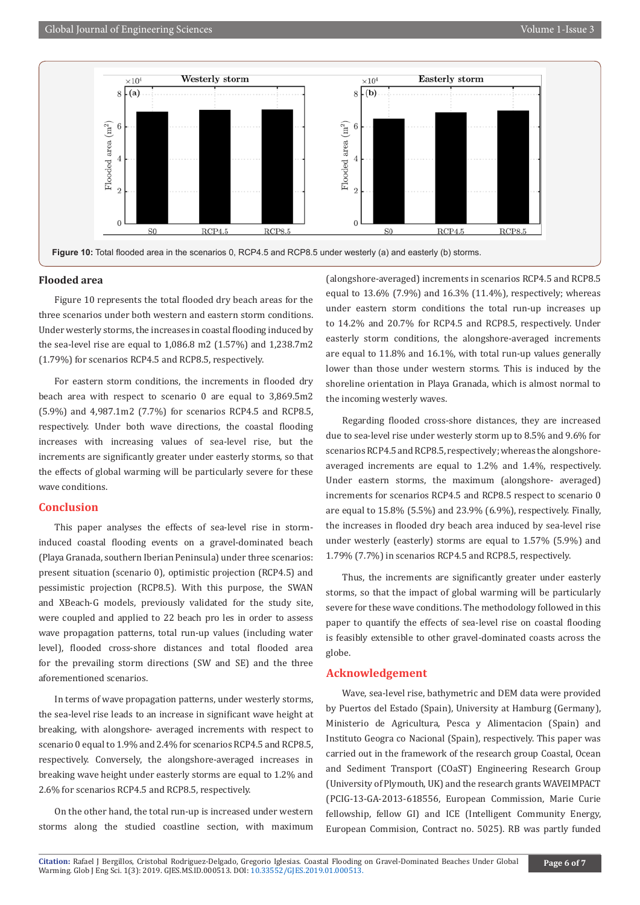

#### **Flooded area**

Figure 10 represents the total flooded dry beach areas for the three scenarios under both western and eastern storm conditions. Under westerly storms, the increases in coastal flooding induced by the sea-level rise are equal to 1,086.8 m2 (1.57%) and 1,238.7m2 (1.79%) for scenarios RCP4.5 and RCP8.5, respectively.

For eastern storm conditions, the increments in flooded dry beach area with respect to scenario 0 are equal to 3,869.5m2 (5.9%) and 4,987.1m2 (7.7%) for scenarios RCP4.5 and RCP8.5, respectively. Under both wave directions, the coastal flooding increases with increasing values of sea-level rise, but the increments are significantly greater under easterly storms, so that the effects of global warming will be particularly severe for these wave conditions.

#### **Conclusion**

This paper analyses the effects of sea-level rise in storminduced coastal flooding events on a gravel-dominated beach (Playa Granada, southern Iberian Peninsula) under three scenarios: present situation (scenario 0), optimistic projection (RCP4.5) and pessimistic projection (RCP8.5). With this purpose, the SWAN and XBeach-G models, previously validated for the study site, were coupled and applied to 22 beach pro les in order to assess wave propagation patterns, total run-up values (including water level), flooded cross-shore distances and total flooded area for the prevailing storm directions (SW and SE) and the three aforementioned scenarios.

In terms of wave propagation patterns, under westerly storms, the sea-level rise leads to an increase in significant wave height at breaking, with alongshore- averaged increments with respect to scenario 0 equal to 1.9% and 2.4% for scenarios RCP4.5 and RCP8.5, respectively. Conversely, the alongshore-averaged increases in breaking wave height under easterly storms are equal to 1.2% and 2.6% for scenarios RCP4.5 and RCP8.5, respectively.

On the other hand, the total run-up is increased under western storms along the studied coastline section, with maximum (alongshore-averaged) increments in scenarios RCP4.5 and RCP8.5 equal to 13.6% (7.9%) and 16.3% (11.4%), respectively; whereas under eastern storm conditions the total run-up increases up to 14.2% and 20.7% for RCP4.5 and RCP8.5, respectively. Under easterly storm conditions, the alongshore-averaged increments are equal to 11.8% and 16.1%, with total run-up values generally lower than those under western storms. This is induced by the shoreline orientation in Playa Granada, which is almost normal to the incoming westerly waves.

Regarding flooded cross-shore distances, they are increased due to sea-level rise under westerly storm up to 8.5% and 9.6% for scenarios RCP4.5 and RCP8.5, respectively; whereas the alongshoreaveraged increments are equal to 1.2% and 1.4%, respectively. Under eastern storms, the maximum (alongshore- averaged) increments for scenarios RCP4.5 and RCP8.5 respect to scenario 0 are equal to 15.8% (5.5%) and 23.9% (6.9%), respectively. Finally, the increases in flooded dry beach area induced by sea-level rise under westerly (easterly) storms are equal to 1.57% (5.9%) and 1.79% (7.7%) in scenarios RCP4.5 and RCP8.5, respectively.

Thus, the increments are significantly greater under easterly storms, so that the impact of global warming will be particularly severe for these wave conditions. The methodology followed in this paper to quantify the effects of sea-level rise on coastal flooding is feasibly extensible to other gravel-dominated coasts across the globe.

#### **Acknowledgement**

Wave, sea-level rise, bathymetric and DEM data were provided by Puertos del Estado (Spain), University at Hamburg (Germany), Ministerio de Agricultura, Pesca y Alimentacion (Spain) and Instituto Geogra co Nacional (Spain), respectively. This paper was carried out in the framework of the research group Coastal, Ocean and Sediment Transport (COaST) Engineering Research Group (University of Plymouth, UK) and the research grants WAVEIMPACT (PCIG-13-GA-2013-618556, European Commission, Marie Curie fellowship, fellow GI) and ICE (Intelligent Community Energy, European Commision, Contract no. 5025). RB was partly funded